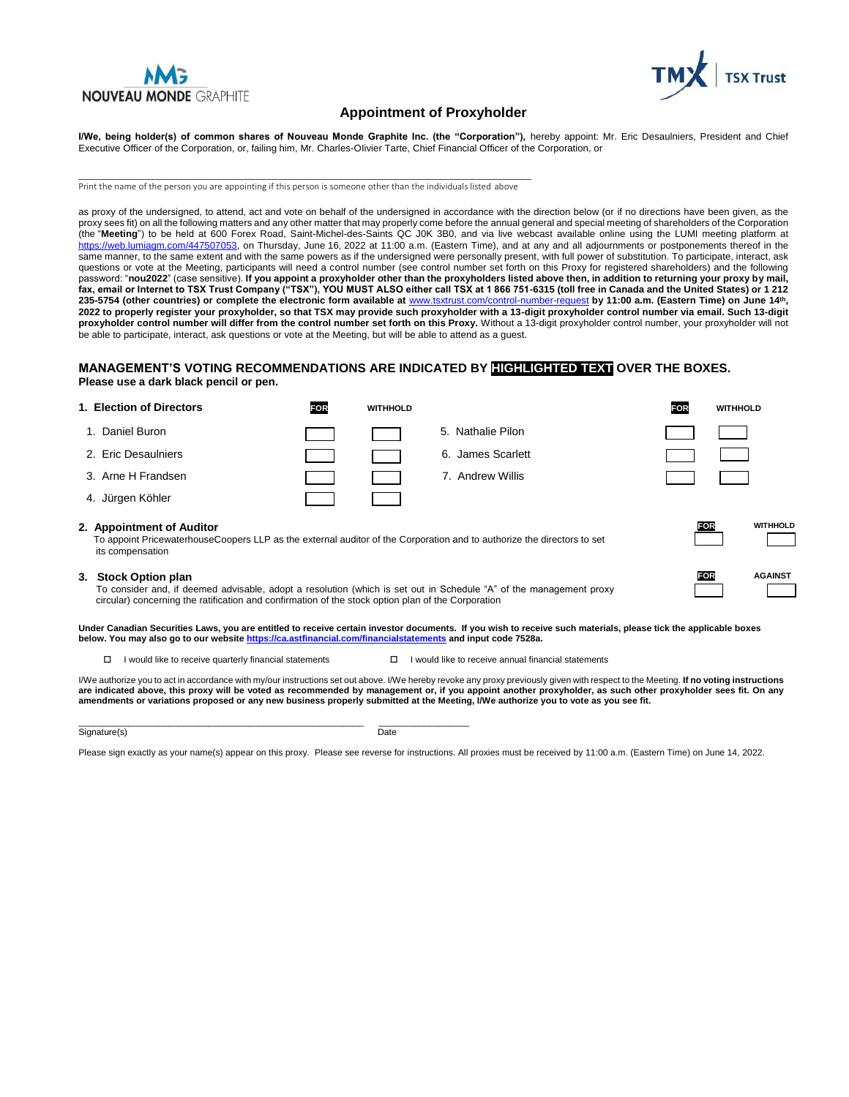



### **Appointment of Proxyholder**

**I/We, being holder(s) of common shares of Nouveau Monde Graphite Inc. (the "Corporation"),** hereby appoint: Mr. Eric Desaulniers, President and Chief Executive Officer of the Corporation, or, failing him, Mr. Charles-OIivier Tarte, Chief Financial Officer of the Corporation, or

\_\_\_\_\_\_\_\_\_\_\_\_\_\_\_\_\_\_\_\_\_\_\_\_\_\_\_\_\_\_\_\_\_\_\_\_\_\_\_\_\_\_\_\_\_\_\_\_\_\_\_\_\_\_\_\_\_\_\_\_\_\_\_\_\_\_\_\_\_\_\_\_\_\_\_\_\_\_\_\_\_\_ Print the name of the person you are appointing if this person is someone other than the individuals listed above

as proxy of the undersigned, to attend, act and vote on behalf of the undersigned in accordance with the direction below (or if no directions have been given, as the proxy sees fit) on all the following matters and any other matter that may properly come before the annual general and special meeting of shareholders of the Corporation (the "**Meeting**") to be held at 600 Forex Road, Saint-Michel-des-Saints QC J0K 3B0, and via live webcast available online using the LUMI meeting platform at [https://web.lumiagm.com/447507053,](https://web.lumiagm.com/447507053) on Thursday, June 16, 2022 at 11:00 a.m. (Eastern Time), and at any and all adjournments or postponements thereof in the same manner, to the same extent and with the same powers as if the undersigned were personally present, with full power of substitution. To participate, interact, ask questions or vote at the Meeting, participants will need a control number (see control number set forth on this Proxy for registered shareholders) and the following password: "**nou2022**" (case sensitive). **If you appoint a proxyholder other than the proxyholders listed above then, in addition to returning your proxy by mail, fax, email or Internet to TSX Trust Company ("TSX"), YOU MUST ALSO either call TSX at 1 866 751-6315 (toll free in Canada and the United States) or 1 212 235-5754 (other countries) or complete the electronic form available at** [www.tsxtrust.com/control-number-request](http://www.tsxtrust.com/control-number-request) **by 11:00 a.m. (Eastern Time) on June 14th, 2022 to properly register your proxyholder, so that TSX may provide such proxyholder with a 13-digit proxyholder control number via email. Such 13-digit proxyholder control number will differ from the control number set forth on this Proxy.** Without a 13-digit proxyholder control number, your proxyholder will not be able to participate, interact, ask questions or vote at the Meeting, but will be able to attend as a guest.

#### **MANAGEMENT'S VOTING RECOMMENDATIONS ARE INDICATED BY HIGHLIGHTED TEXT OVER THE BOXES. Please use a dark black pencil or pen.**

### **1. Election of Directors FOR WITHHOLD FOR WITHHOLD** 1. Daniel Buron 1. **Communist Communist Communist Communist Communist Communist Communist Communist Communist Communist Communist Communist Communist Communist Communist Communist Communist Communist Communist Communist Co** 2. Eric Desaulniers **6. James Scarlett** 3. Arne H Frandsen 7. Andrew Willis 4. Jürgen Köhler **2. Appointment of Auditor** To appoint PricewaterhouseCoopers LLP as the external auditor of the Corporation and to authorize the directors to set its compensation **FOR WITHHOLD 3. Stock Option plan** To consider and, if deemed advisable, adopt a resolution (which is set out in Schedule "A" of the management proxy **FOR AGAINST**

circular) concerning the ratification and confirmation of the stock option plan of the Corporation

**Under Canadian Securities Laws, you are entitled to receive certain investor documents. If you wish to receive such materials, please tick the applicable boxes below. You may also go to our websit[e https://ca.astfinancial.com/financialstatements](https://ca.astfinancial.com/financialstatements) and input code 7528a.**

 $\Box$  I would like to receive quarterly financial statements  $\Box$  I would like to receive annual financial statements

I/We authorize you to act in accordance with my/our instructions set out above. I/We hereby revoke any proxy previously given with respect to the Meeting. **If no voting instructions are indicated above, this proxy will be voted as recommended by management or, if you appoint another proxyholder, as such other proxyholder sees fit. On any amendments or variations proposed or any new business properly submitted at the Meeting, I/We authorize you to vote as you see fit.**

Signature(s) Date

\_\_\_\_\_\_\_\_\_\_\_\_\_\_\_\_\_\_\_\_\_\_\_\_\_\_\_\_\_\_\_\_\_\_\_\_\_\_\_\_\_\_\_\_\_\_\_\_\_\_\_\_\_\_\_\_\_ \_\_\_\_\_\_\_\_\_\_\_\_\_\_\_\_\_\_

Please sign exactly as your name(s) appear on this proxy. Please see reverse for instructions. All proxies must be received by 11:00 a.m. (Eastern Time) on June 14, 2022.